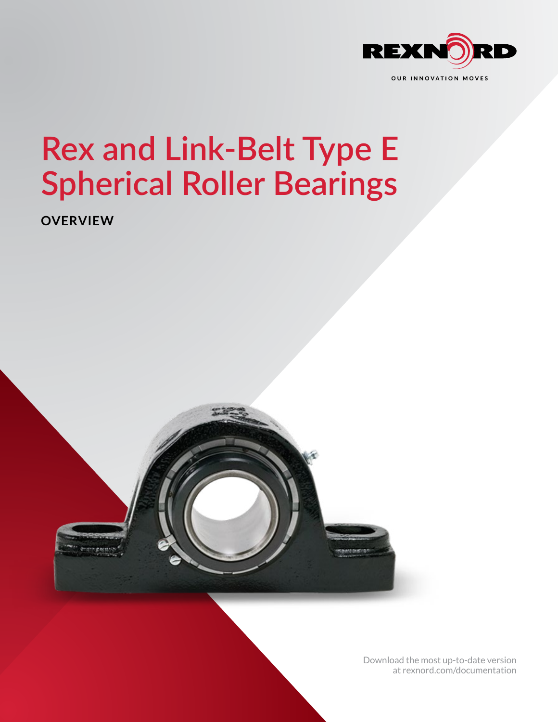

## **Rex and Link-Belt Type E Spherical Roller Bearings**

**OVERVIEW**



[Download the most up-to-date version](http://www.rexnord.com/documentation) [at rexnord.com/documentation](http://www.rexnord.com/documentation)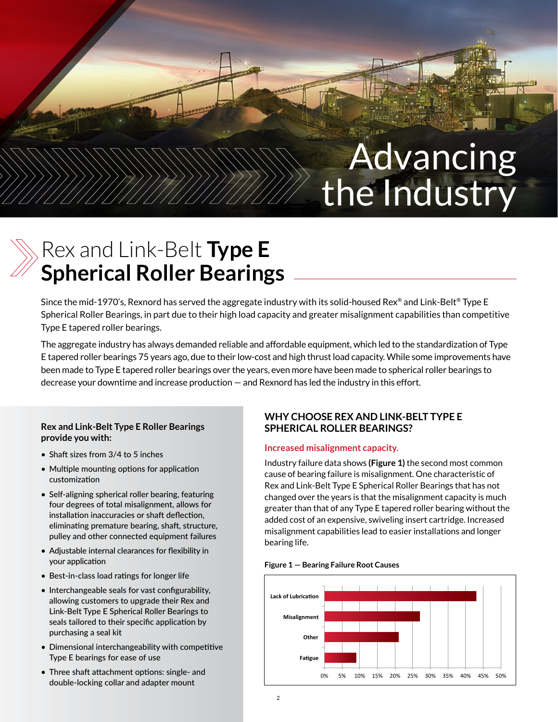# Advancing the Industry

## Rex and Link-Belt **Type E Spherical Roller Bearings**

Since the mid-1970's, Rexnord has served the aggregate industry with its solid-housed Rex® and Link-Belt® Type E Spherical Roller Bearings, in part due to their high load capacity and greater misalignment capabilities than competitive Type E tapered roller bearings.

The aggregate industry has always demanded reliable and affordable equipment, which led to the standardization of Type E tapered roller bearings 75 years ago, due to their low-cost and high thrust load capacity. While some improvements have been made to Type E tapered roller bearings over the years, even more have been made to spherical roller bearings to decrease your downtime and increase production — and Rexnord has led the industry in this effort.

#### **Rex and Link-Belt Type E Roller Bearings provide you with:**

- Shaft sizes from 3/4 to 5 inches
- Multiple mounting options for application customization
- Self-aligning spherical roller bearing, featuring four degrees of total misalignment, allows for installation inaccuracies or shaft deflection, eliminating premature bearing, shaft, structure, pulley and other connected equipment failures
- Adjustable internal clearances for flexibility in your application
- Best-in-class load ratings for longer life
- Interchangeable seals for vast configurability, allowing customers to upgrade their Rex and Link-Belt Type E Spherical Roller Bearings to seals tailored to their specific application by purchasing a seal kit
- Dimensional interchangeability with competitive Type E bearings for ease of use
- Three shaft attachment options: single- and double-locking collar and adapter mount

#### **WHY CHOOSE REX AND LINK-BELT TYPE E SPHERICAL ROLLER BEARINGS?**

#### **Increased misalignment capacity.**

Industry failure data shows **(Figure 1)** the second most common cause of bearing failure is misalignment. One characteristic of Rex and Link-Belt Type E Spherical Roller Bearings that has not changed over the years is that the misalignment capacity is much greater than that of any Type E tapered roller bearing without the added cost of an expensive, swiveling insert cartridge. Increased misalignment capabilities lead to easier installations and longer bearing life.

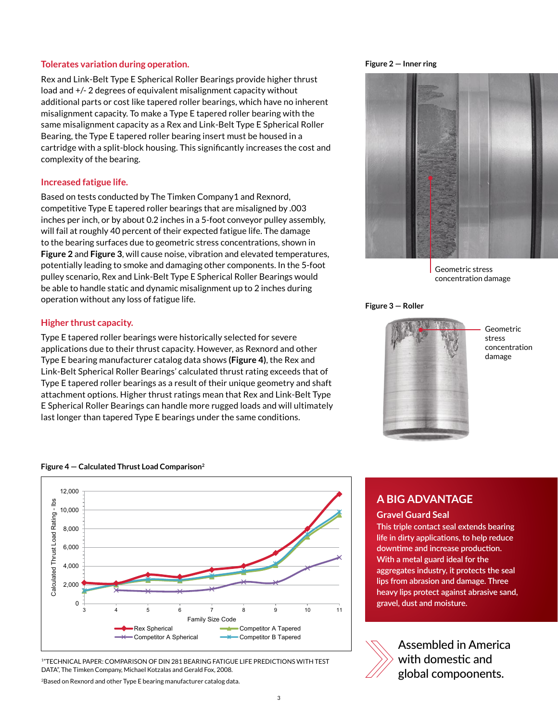#### **Tolerates variation during operation.**

Rex and Link-Belt Type E Spherical Roller Bearings provide higher thrust load and +/- 2 degrees of equivalent misalignment capacity without additional parts or cost like tapered roller bearings, which have no inherent misalignment capacity. To make a Type E tapered roller bearing with the same misalignment capacity as a Rex and Link-Belt Type E Spherical Roller Bearing, the Type E tapered roller bearing insert must be housed in a cartridge with a split-block housing. This significantly increases the cost and complexity of the bearing.

#### **Increased fatigue life.**

Based on tests conducted by The Timken Company1 and Rexnord, competitive Type E tapered roller bearings that are misaligned by .003 inches per inch, or by about 0.2 inches in a 5-foot conveyor pulley assembly, will fail at roughly 40 percent of their expected fatigue life. The damage to the bearing surfaces due to geometric stress concentrations, shown in **Figure 2** and **Figure 3**, will cause noise, vibration and elevated temperatures, potentially leading to smoke and damaging other components. In the 5-foot pulley scenario, Rex and Link-Belt Type E Spherical Roller Bearings would be able to handle static and dynamic misalignment up to 2 inches during operation without any loss of fatigue life.

#### **Higher thrust capacity.**

Type E tapered roller bearings were historically selected for severe applications due to their thrust capacity. However, as Rexnord and other Type E bearing manufacturer catalog data shows **(Figure 4)**, the Rex and Link-Belt Spherical Roller Bearings' calculated thrust rating exceeds that of Type E tapered roller bearings as a result of their unique geometry and shaft attachment options. Higher thrust ratings mean that Rex and Link-Belt Type E Spherical Roller Bearings can handle more rugged loads and will ultimately last longer than tapered Type E bearings under the same conditions.

#### **Figure 4 — Calculated Thrust Load Comparison2**



1"TECHNICAL PAPER: COMPARISON OF DIN 281 BEARING FATIGUE LIFE PREDICTIONS WITH TEST DATA", The Timken Company, Michael Kotzalas and Gerald Fox, 2008.

2Based on Rexnord and other Type E bearing manufacturer catalog data.

#### **Figure 2 — Inner ring**



Geometric stress concentration damage

#### **Figure 3 — Roller**



Geometric stress concentration damage

### **A BIG ADVANTAGE**

#### **Gravel Guard Seal**

**This triple contact seal extends bearing life in dirty applications, to help reduce downtime and increase production. With a metal guard ideal for the aggregates industry, it protects the seal lips from abrasion and damage. Three heavy lips protect against abrasive sand, gravel, dust and moisture.**



Assembled in America with domestic and global compoonents.